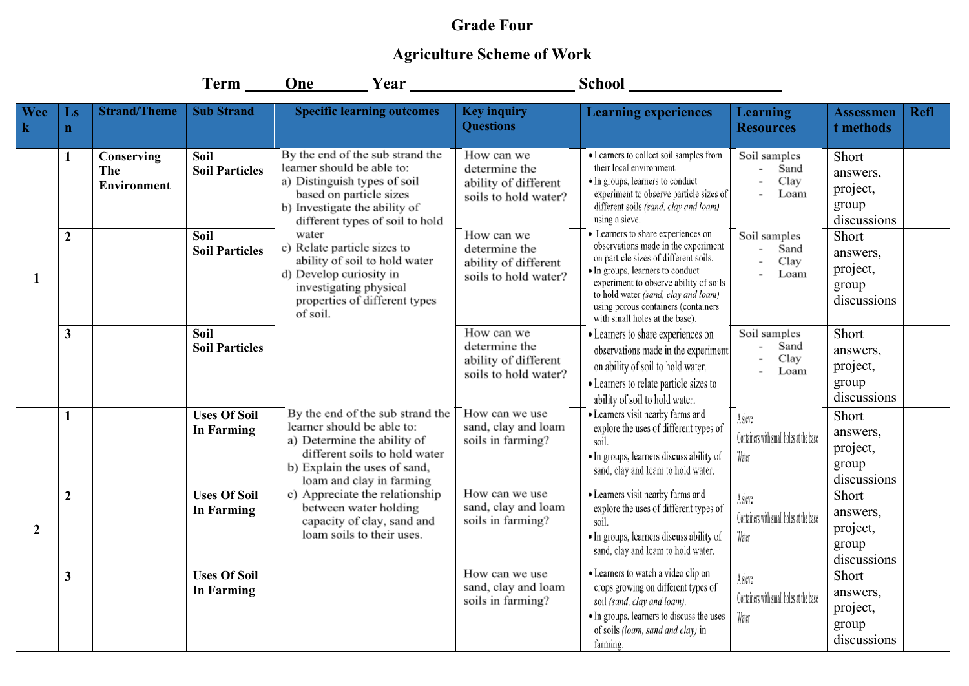## **Grade Four**

## **Agriculture Scheme of Work**

|                 |                   |                                         | Term ______                              | One Year                                                                                                                                                                                                                                                                                                         |                                                                                                                                                                                                                                                                                                                                                                                                 | School __                                                                                                                                                                                                     |                                                             |                                                       |             |
|-----------------|-------------------|-----------------------------------------|------------------------------------------|------------------------------------------------------------------------------------------------------------------------------------------------------------------------------------------------------------------------------------------------------------------------------------------------------------------|-------------------------------------------------------------------------------------------------------------------------------------------------------------------------------------------------------------------------------------------------------------------------------------------------------------------------------------------------------------------------------------------------|---------------------------------------------------------------------------------------------------------------------------------------------------------------------------------------------------------------|-------------------------------------------------------------|-------------------------------------------------------|-------------|
| <b>Wee</b><br>k | Ls<br>$\mathbf n$ | <b>Strand/Theme</b>                     | <b>Sub Strand</b>                        | <b>Specific learning outcomes</b>                                                                                                                                                                                                                                                                                | <b>Key inquiry</b><br><b>Questions</b>                                                                                                                                                                                                                                                                                                                                                          | <b>Learning experiences</b>                                                                                                                                                                                   | <b>Learning</b><br><b>Resources</b>                         | <b>Assessmen</b><br>t methods                         | <b>Refl</b> |
| -1              | 1                 | Conserving<br>The<br><b>Environment</b> | Soil<br><b>Soil Particles</b>            | By the end of the sub strand the<br>learner should be able to:<br>a) Distinguish types of soil<br>based on particle sizes<br>b) Investigate the ability of<br>different types of soil to hold                                                                                                                    | How can we<br>determine the<br>ability of different<br>soils to hold water?                                                                                                                                                                                                                                                                                                                     | · Learners to collect soil samples from<br>their local environment.<br>• In groups, learners to conduct<br>experiment to observe particle sizes of<br>different soils (sand, clay and loam)<br>using a sieve. | Soil samples<br>Sand<br>Clay<br>Loam                        | Short<br>answers,<br>project,<br>group<br>discussions |             |
|                 | $\overline{2}$    |                                         | <b>Soil</b><br><b>Soil Particles</b>     | water<br>c) Relate particle sizes to<br>ability of soil to hold water<br>d) Develop curiosity in<br>investigating physical<br>properties of different types<br>of soil.                                                                                                                                          | • Learners to share experiences on<br>How can we<br>observations made in the experiment<br>determine the<br>on particle sizes of different soils.<br>ability of different<br>· In groups, learners to conduct<br>soils to hold water?<br>experiment to observe ability of soils<br>to hold water (sand, clay and loam)<br>using porous containers (containers<br>with small holes at the base). | Soil samples<br>Sand<br>$\overline{\phantom{a}}$<br>Clay<br>Loam                                                                                                                                              | Short<br>answers,<br>project,<br>group<br>discussions       |                                                       |             |
|                 | $\mathbf{3}$      |                                         | Soil<br><b>Soil Particles</b>            |                                                                                                                                                                                                                                                                                                                  | How can we<br>determine the<br>ability of different<br>soils to hold water?                                                                                                                                                                                                                                                                                                                     | • Learners to share experiences on<br>observations made in the experiment<br>on ability of soil to hold water.<br>• Learners to relate particle sizes to<br>ability of soil to hold water.                    | Soil samples<br>Sand<br>Clay<br>Loam                        | Short<br>answers,<br>project,<br>group<br>discussions |             |
| $\overline{2}$  | $\mathbf{1}$      |                                         | <b>Uses Of Soil</b><br><b>In Farming</b> | By the end of the sub strand the<br>learner should be able to:<br>a) Determine the ability of<br>different soils to hold water<br>b) Explain the uses of sand,<br>loam and clay in farming<br>c) Appreciate the relationship<br>between water holding<br>capacity of clay, sand and<br>loam soils to their uses. | How can we use<br>sand, clay and loam<br>soils in farming?                                                                                                                                                                                                                                                                                                                                      | · Learners visit nearby farms and<br>explore the uses of different types of<br>soil.<br>· In groups, learners discuss ability of<br>sand, clay and loam to hold water.                                        | A sieve<br>Containers with small holes at the base<br>Water | Short<br>answers,<br>project,<br>group<br>discussions |             |
|                 | $\overline{2}$    |                                         | <b>Uses Of Soil</b><br><b>In Farming</b> |                                                                                                                                                                                                                                                                                                                  | How can we use<br>sand, clay and loam<br>soils in farming?                                                                                                                                                                                                                                                                                                                                      | · Learners visit nearby farms and<br>explore the uses of different types of<br>soil.<br>· In groups, learners discuss ability of<br>sand, clay and loam to hold water.                                        | A sieve<br>Containers with small holes at the base<br>Water | Short<br>answers,<br>project,<br>group<br>discussions |             |
|                 | $\mathbf{3}$      |                                         | <b>Uses Of Soil</b><br><b>In Farming</b> |                                                                                                                                                                                                                                                                                                                  | How can we use<br>sand, clay and loam<br>soils in farming?                                                                                                                                                                                                                                                                                                                                      | • Learners to watch a video clip on<br>crops growing on different types of<br>soil (sand, clay and loam).<br>· In groups, learners to discuss the uses<br>of soils (loam, sand and clay) in<br>farming.       | A sieve<br>Containers with small holes at the base<br>Water | Short<br>answers,<br>project,<br>group<br>discussions |             |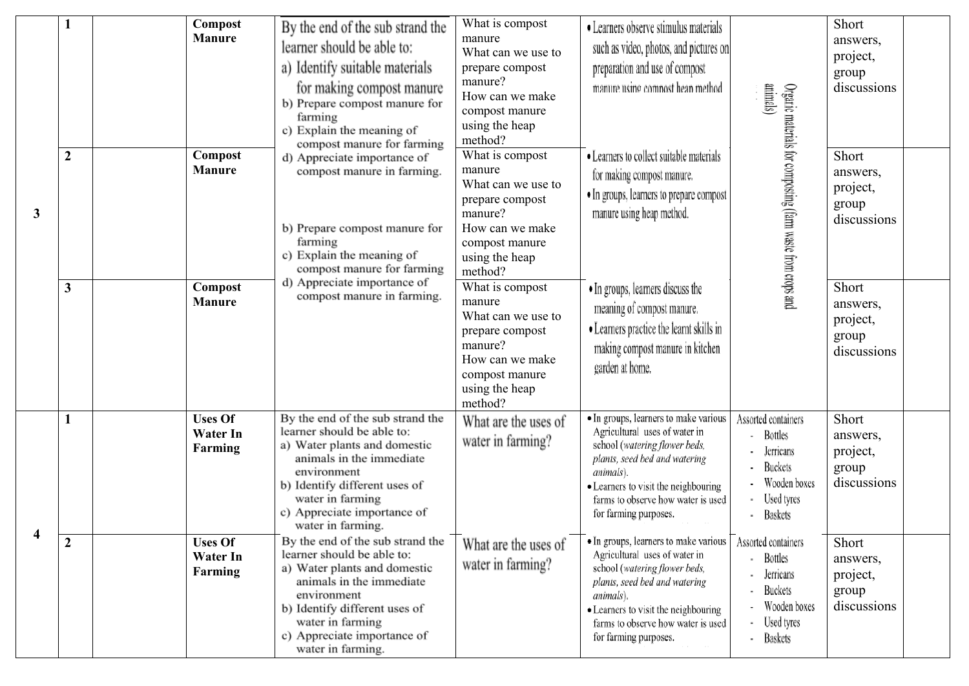| $\mathbf{3}$ |                  | Compost<br><b>Manure</b>                     | By the end of the sub strand the<br>learner should be able to:<br>a) Identify suitable materials<br>for making compost manure<br>b) Prepare compost manure for<br>farming<br>c) Explain the meaning of<br>compost manure for farming               | What is compost<br>manure<br>What can we use to<br>prepare compost<br>manure?<br>How can we make<br>compost manure<br>using the heap<br>method?<br>What is compost<br>manure<br>What can we use to<br>prepare compost<br>manure?<br>How can we make<br>compost manure<br>using the heap<br>method? | • Learners observe stimulus materials<br>such as video, photos, and pictures on<br>preparation and use of compost<br>manure using compost heap method                                                                                                        | animals)                                                                                                      | Short<br>answers,<br>project,<br>group<br>discussions |  |
|--------------|------------------|----------------------------------------------|----------------------------------------------------------------------------------------------------------------------------------------------------------------------------------------------------------------------------------------------------|----------------------------------------------------------------------------------------------------------------------------------------------------------------------------------------------------------------------------------------------------------------------------------------------------|--------------------------------------------------------------------------------------------------------------------------------------------------------------------------------------------------------------------------------------------------------------|---------------------------------------------------------------------------------------------------------------|-------------------------------------------------------|--|
|              | $\boldsymbol{2}$ | Compost<br><b>Manure</b>                     | d) Appreciate importance of<br>compost manure in farming.<br>b) Prepare compost manure for<br>farming<br>c) Explain the meaning of<br>compost manure for farming                                                                                   |                                                                                                                                                                                                                                                                                                    | • Learners to collect suitable materials<br>for making compost manure.<br>· In groups, learners to prepare compost<br>manure using heap method.                                                                                                              | Organic materials for composting (farm waste from crops and                                                   | Short<br>answers,<br>project,<br>group<br>discussions |  |
|              | 3                | Compost<br><b>Manure</b>                     | d) Appreciate importance of<br>compost manure in farming.                                                                                                                                                                                          | What is compost<br>manure<br>What can we use to<br>prepare compost<br>manure?<br>How can we make<br>compost manure<br>using the heap<br>method?                                                                                                                                                    | • In groups, learners discuss the<br>meaning of compost manure.<br>• Learners practice the learnt skills in<br>making compost manure in kitchen<br>garden at home.                                                                                           |                                                                                                               | Short<br>answers,<br>project,<br>group<br>discussions |  |
|              | $\mathbf{1}$     | <b>Uses Of</b><br><b>Water In</b><br>Farming | By the end of the sub strand the<br>learner should be able to:<br>a) Water plants and domestic<br>animals in the immediate<br>environment<br>b) Identify different uses of<br>water in farming<br>c) Appreciate importance of<br>water in farming. | What are the uses of<br>water in farming?                                                                                                                                                                                                                                                          | · In groups, learners to make various<br>Agricultural uses of water in<br>school (watering flower beds,<br>plants, seed bed and watering<br>animals).<br>• Learners to visit the neighbouring<br>farms to observe how water is used<br>for farming purposes. | Assorted containers<br>Bottles<br>Jerricans<br><b>Buckets</b><br>Wooden boxes<br>Used tyres<br><b>Baskets</b> | Short<br>answers,<br>project,<br>group<br>discussions |  |
|              | $\boldsymbol{2}$ | <b>Uses Of</b><br><b>Water In</b><br>Farming | By the end of the sub strand the<br>learner should be able to:<br>a) Water plants and domestic<br>animals in the immediate<br>environment<br>b) Identify different uses of<br>water in farming<br>c) Appreciate importance of<br>water in farming. | What are the uses of<br>water in farming?                                                                                                                                                                                                                                                          | • In groups, learners to make various<br>Agricultural uses of water in<br>school (watering flower beds,<br>plants, seed bed and watering<br>animals).<br>• Learners to visit the neighbouring<br>farms to observe how water is used<br>for farming purposes. | Assorted containers<br><b>Bottles</b><br>Jerricans<br><b>Buckets</b><br>Wooden boxes<br>Used tyres<br>Baskets | Short<br>answers,<br>project,<br>group<br>discussions |  |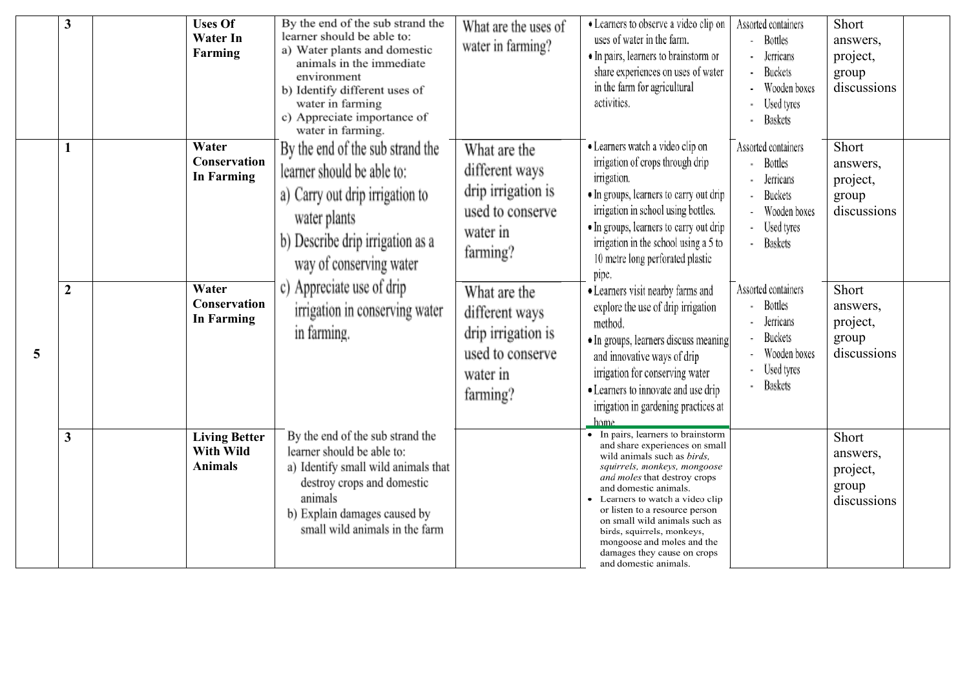|   | 3                | <b>Uses Of</b><br><b>Water In</b><br>Farming        | By the end of the sub strand the<br>learner should be able to:<br>a) Water plants and domestic<br>animals in the immediate<br>environment<br>b) Identify different uses of<br>water in farming<br>c) Appreciate importance of<br>water in farming. | What are the uses of<br>water in farming?                                                        | • Learners to observe a video clip on<br>uses of water in the farm.<br>• In pairs, learners to brainstorm or<br>share experiences on uses of water<br>in the farm for agricultural<br>activities.                                                                                                                                                                                                                     | Assorted containers<br>Bottles<br>Jerricans<br>Buckets<br>Wooden boxes<br>Used tyres<br><b>Baskets</b>               | Short<br>answers,<br>project,<br>group<br>discussions |
|---|------------------|-----------------------------------------------------|----------------------------------------------------------------------------------------------------------------------------------------------------------------------------------------------------------------------------------------------------|--------------------------------------------------------------------------------------------------|-----------------------------------------------------------------------------------------------------------------------------------------------------------------------------------------------------------------------------------------------------------------------------------------------------------------------------------------------------------------------------------------------------------------------|----------------------------------------------------------------------------------------------------------------------|-------------------------------------------------------|
|   | 1                | Water<br><b>Conservation</b><br><b>In Farming</b>   | By the end of the sub strand the<br>learner should be able to:<br>a) Carry out drip irrigation to<br>water plants<br>b) Describe drip irrigation as a<br>way of conserving water                                                                   | What are the<br>different ways<br>drip irrigation is<br>used to conserve<br>water in<br>farming? | · Learners watch a video clip on<br>irrigation of crops through drip<br>irrigation.<br>• In groups, learners to carry out drip<br>irrigation in school using bottles.<br>• In groups, learners to carry out drip<br>irrigation in the school using a 5 to<br>10 metre long perforated plastic<br>pipe.                                                                                                                | Assorted containers<br><b>Bottles</b><br>Jerricans<br><b>Buckets</b><br>Wooden boxes<br>Used tyres<br><b>Baskets</b> | Short<br>answers,<br>project,<br>group<br>discussions |
| 5 | $\boldsymbol{2}$ | Water<br><b>Conservation</b><br><b>In Farming</b>   | c) Appreciate use of drip<br>irrigation in conserving water<br>in farming.                                                                                                                                                                         | What are the<br>different ways<br>drip irrigation is<br>used to conserve<br>water in<br>farming? | · Learners visit nearby farms and<br>explore the use of drip irrigation<br>method.<br>· In groups, learners discuss meaning<br>and innovative ways of drip<br>irrigation for conserving water<br>• Learners to innovate and use drip<br>irrigation in gardening practices at<br>home.                                                                                                                                 | Assorted containers<br>Bottles<br>Jerricans<br>Buckets<br>Wooden boxes<br>Used tyres<br><b>Baskets</b>               | Short<br>answers,<br>project,<br>group<br>discussions |
|   | $\mathbf{3}$     | <b>Living Better</b><br>With Wild<br><b>Animals</b> | By the end of the sub strand the<br>learner should be able to:<br>a) Identify small wild animals that<br>destroy crops and domestic<br>animals<br>b) Explain damages caused by<br>small wild animals in the farm                                   |                                                                                                  | • In pairs, learners to brainstorm<br>and share experiences on small<br>wild animals such as birds.<br>squirrels, monkeys, mongoose<br>and moles that destroy crops<br>and domestic animals.<br>Learners to watch a video clip<br>or listen to a resource person<br>on small wild animals such as<br>birds, squirrels, monkeys,<br>mongoose and moles and the<br>damages they cause on crops<br>and domestic animals. |                                                                                                                      | Short<br>answers,<br>project,<br>group<br>discussions |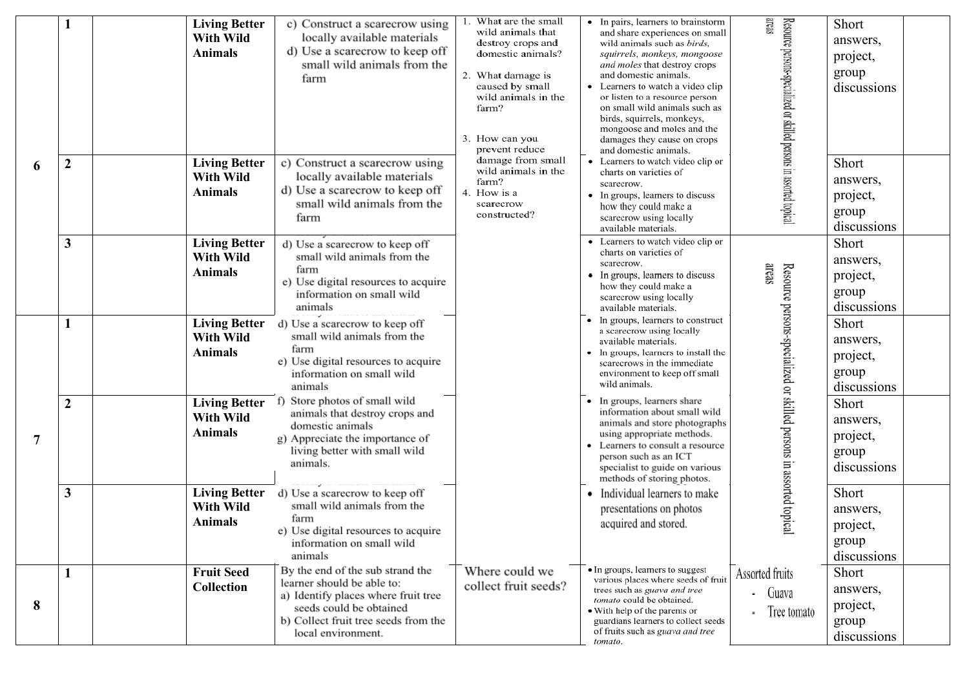|                |                  | <b>Living Better</b><br>With Wild<br><b>Animals</b>        | c) Construct a scarecrow using<br>locally available materials<br>d) Use a scarecrow to keep off<br>small wild animals from the<br>farm                                                         | What are the small<br>• In pairs, learners to brainstorm<br>wild animals that<br>and share experiences on small<br>destroy crops and<br>wild animals such as birds,<br>domestic animals?<br>squirrels, monkeys, mongoose<br>and moles that destroy crops<br>and domestic animals.<br>2. What damage is<br>Learners to watch a video clip<br>caused by small<br>wild animals in the<br>or listen to a resource person<br>on small wild animals such as<br>farm?<br>birds, squirrels, monkeys,<br>mongoose and moles and the<br>3. How can you<br>damages they cause on crops<br>prevent reduce<br>and domestic animals. | areas<br>Resource persons-specialized or skilled persons in assorted topical                                                                                                                                                                                |                                                                     | Short<br>answers,<br>project,<br>group<br>discussions |
|----------------|------------------|------------------------------------------------------------|------------------------------------------------------------------------------------------------------------------------------------------------------------------------------------------------|------------------------------------------------------------------------------------------------------------------------------------------------------------------------------------------------------------------------------------------------------------------------------------------------------------------------------------------------------------------------------------------------------------------------------------------------------------------------------------------------------------------------------------------------------------------------------------------------------------------------|-------------------------------------------------------------------------------------------------------------------------------------------------------------------------------------------------------------------------------------------------------------|---------------------------------------------------------------------|-------------------------------------------------------|
| 6              | $\boldsymbol{2}$ | <b>Living Better</b><br><b>With Wild</b><br><b>Animals</b> | c) Construct a scarecrow using<br>locally available materials<br>d) Use a scarecrow to keep off<br>small wild animals from the<br>farm                                                         | damage from small<br>wild animals in the<br>farm?<br>4. How is a<br>scarecrow<br>constructed?                                                                                                                                                                                                                                                                                                                                                                                                                                                                                                                          | • Learners to watch video clip or<br>charts on varieties of<br>scarecrow.<br>• In groups, learners to discuss<br>how they could make a<br>scarecrow using locally<br>available materials.                                                                   |                                                                     | Short<br>answers,<br>project,<br>group<br>discussions |
|                | $\mathbf{3}$     | <b>Living Better</b><br><b>With Wild</b><br><b>Animals</b> | d) Use a scarecrow to keep off<br>small wild animals from the<br>farm<br>e) Use digital resources to acquire<br>information on small wild<br>animals                                           |                                                                                                                                                                                                                                                                                                                                                                                                                                                                                                                                                                                                                        | Learners to watch video clip or<br>charts on varieties of<br>scarecrow.<br>In groups, learners to discuss<br>how they could make a<br>scarecrow using locally<br>available materials.                                                                       | areas                                                               | Short<br>answers,<br>project,<br>group<br>discussions |
|                |                  | <b>Living Better</b><br>With Wild<br><b>Animals</b>        | d) Use a scarecrow to keep off<br>small wild animals from the<br>farm<br>e) Use digital resources to acquire<br>information on small wild<br>animals                                           |                                                                                                                                                                                                                                                                                                                                                                                                                                                                                                                                                                                                                        | • In groups, learners to construct<br>a scarecrow using locally<br>available materials.<br>In groups, learners to install the<br>scarecrows in the immediate<br>environment to keep off small<br>wild animals.                                              |                                                                     | Short<br>answers,<br>project,<br>group<br>discussions |
| $\overline{7}$ | $\boldsymbol{2}$ | <b>Living Better</b><br>With Wild<br><b>Animals</b>        | f) Store photos of small wild<br>animals that destroy crops and<br>domestic animals<br>g) Appreciate the importance of<br>living better with small wild<br>animals.                            |                                                                                                                                                                                                                                                                                                                                                                                                                                                                                                                                                                                                                        | • In groups, learners share<br>information about small wild<br>animals and store photographs<br>using appropriate methods.<br>Learners to consult a resource<br>person such as an ICT<br>specialist to guide on various<br>methods of storing photos.       | Resource persons-specialized or skilled persons in assorted topical | Short<br>answers,<br>project,<br>group<br>discussions |
|                | $\mathbf{3}$     | <b>Living Better</b><br>With Wild<br><b>Animals</b>        | d) Use a scarecrow to keep off<br>small wild animals from the<br>farm<br>e) Use digital resources to acquire<br>information on small wild<br>animals                                           |                                                                                                                                                                                                                                                                                                                                                                                                                                                                                                                                                                                                                        | Individual learners to make<br>presentations on photos<br>acquired and stored.                                                                                                                                                                              |                                                                     | Short<br>answers,<br>project,<br>group<br>discussions |
| 8              |                  | <b>Fruit Seed</b><br>Collection                            | By the end of the sub strand the<br>learner should be able to:<br>a) Identify places where fruit tree<br>seeds could be obtained<br>b) Collect fruit tree seeds from the<br>local environment. | Where could we<br>collect fruit seeds?                                                                                                                                                                                                                                                                                                                                                                                                                                                                                                                                                                                 | • In groups, learners to suggest<br>various places where seeds of fruit<br>trees such as guava and tree<br>tomato could be obtained.<br>• With help of the parents or<br>guardians learners to collect seeds<br>of fruits such as guava and tree<br>tomato. | Assorted fruits<br>- Guava<br>Tree tomato                           | Short<br>answers,<br>project,<br>group<br>discussions |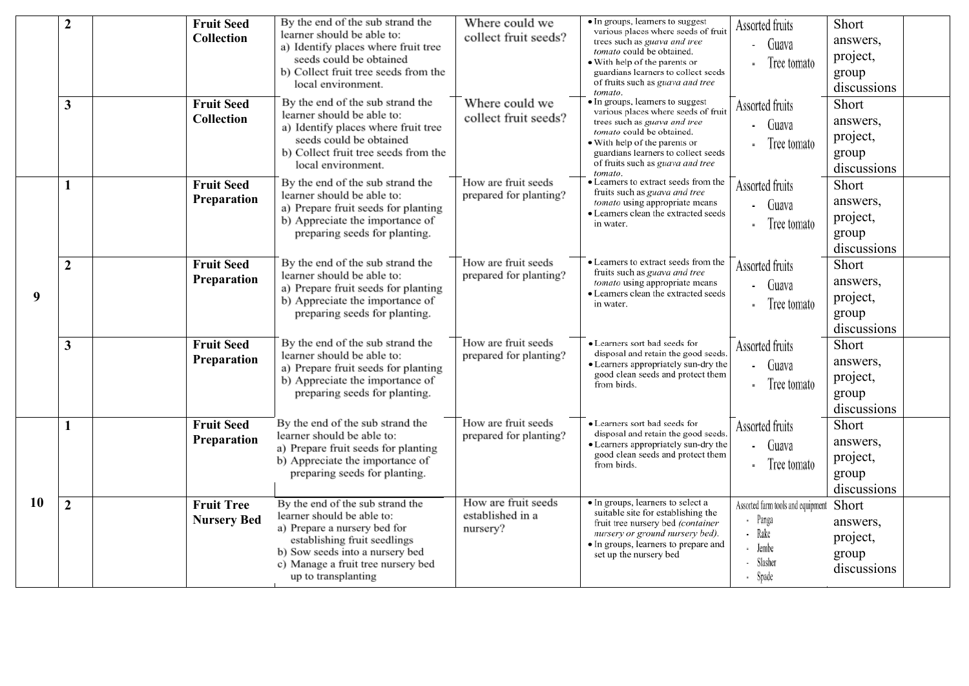|           | $\overline{2}$   | <b>Fruit Seed</b><br><b>Collection</b>  | By the end of the sub strand the<br>learner should be able to:<br>a) Identify places where fruit tree<br>seeds could be obtained<br>b) Collect fruit tree seeds from the<br>local environment.                                 | Where could we<br>collect fruit seeds?              | · In groups, learners to suggest<br>various places where seeds of fruit<br>trees such as guava and tree<br>tomato could be obtained.<br>• With help of the parents or<br>guardians learners to collect seeds<br>of fruits such as guava and tree<br>tomato. | Assorted fruits<br>- Guava<br>Tree tomato                                               | Short<br>answers,<br>project,<br>group<br>discussions |
|-----------|------------------|-----------------------------------------|--------------------------------------------------------------------------------------------------------------------------------------------------------------------------------------------------------------------------------|-----------------------------------------------------|-------------------------------------------------------------------------------------------------------------------------------------------------------------------------------------------------------------------------------------------------------------|-----------------------------------------------------------------------------------------|-------------------------------------------------------|
|           | $\mathbf{3}$     | <b>Fruit Seed</b><br><b>Collection</b>  | By the end of the sub strand the<br>learner should be able to:<br>a) Identify places where fruit tree<br>seeds could be obtained<br>b) Collect fruit tree seeds from the<br>local environment.                                 | Where could we<br>collect fruit seeds?              | • In groups, learners to suggest<br>various places where seeds of fruit<br>trees such as guava and tree<br>tomato could be obtained.<br>• With help of the parents or<br>guardians learners to collect seeds<br>of fruits such as guava and tree<br>tomato. | Assorted fruits<br>Guava<br>Tree tomato                                                 | Short<br>answers,<br>project,<br>group<br>discussions |
|           | 1                | <b>Fruit Seed</b><br>Preparation        | By the end of the sub strand the<br>learner should be able to:<br>a) Prepare fruit seeds for planting<br>b) Appreciate the importance of<br>preparing seeds for planting.                                                      | How are fruit seeds<br>prepared for planting?       | • Learners to extract seeds from the<br>fruits such as guava and tree<br>tomato using appropriate means<br>• Learners clean the extracted seeds<br>in water.                                                                                                | Assorted fruits<br>- Guava<br>Tree tomato                                               | Short<br>answers,<br>project,<br>group<br>discussions |
| 9         | $\boldsymbol{2}$ | <b>Fruit Seed</b><br>Preparation        | By the end of the sub strand the<br>learner should be able to:<br>a) Prepare fruit seeds for planting<br>b) Appreciate the importance of<br>preparing seeds for planting.                                                      | How are fruit seeds<br>prepared for planting?       | • Learners to extract seeds from the<br>fruits such as guava and tree<br>tomato using appropriate means<br>• Learners clean the extracted seeds<br>in water.                                                                                                | Assorted fruits<br>- Guava<br>Tree tomato                                               | Short<br>answers,<br>project,<br>group<br>discussions |
|           | $\mathbf{3}$     | <b>Fruit Seed</b><br>Preparation        | By the end of the sub strand the<br>learner should be able to:<br>a) Prepare fruit seeds for planting<br>b) Appreciate the importance of<br>preparing seeds for planting.                                                      | How are fruit seeds<br>prepared for planting?       | • Learners sort bad seeds for<br>disposal and retain the good seeds.<br>• Learners appropriately sun-dry the<br>good clean seeds and protect them<br>from birds.                                                                                            | Assorted fruits<br>- Guava<br>Tree tomato                                               | Short<br>answers,<br>project,<br>group<br>discussions |
|           | 1                | <b>Fruit Seed</b><br>Preparation        | By the end of the sub strand the<br>learner should be able to:<br>a) Prepare fruit seeds for planting<br>b) Appreciate the importance of<br>preparing seeds for planting.                                                      | How are fruit seeds<br>prepared for planting?       | • Learners sort bad seeds for<br>disposal and retain the good seeds.<br>• Learners appropriately sun-dry the<br>good clean seeds and protect them<br>from birds.                                                                                            | Assorted fruits<br>- Guava<br>Tree tomato                                               | Short<br>answers,<br>project,<br>group<br>discussions |
| <b>10</b> | $\overline{2}$   | <b>Fruit Tree</b><br><b>Nursery Bed</b> | By the end of the sub strand the<br>learner should be able to:<br>a) Prepare a nursery bed for<br>establishing fruit seedlings<br>b) Sow seeds into a nursery bed<br>c) Manage a fruit tree nursery bed<br>up to transplanting | How are fruit seeds<br>established in a<br>nursery? | • In groups, learners to select a<br>suitable site for establishing the<br>fruit tree nursery bed (container<br>nursery or ground nursery bed).<br>• In groups, learners to prepare and<br>set up the nursery bed                                           | Assorted farm tools and equipment<br>Panga<br>- Rake<br>- Jembe<br>- Slasher<br>- Spade | Short<br>answers,<br>project,<br>group<br>discussions |